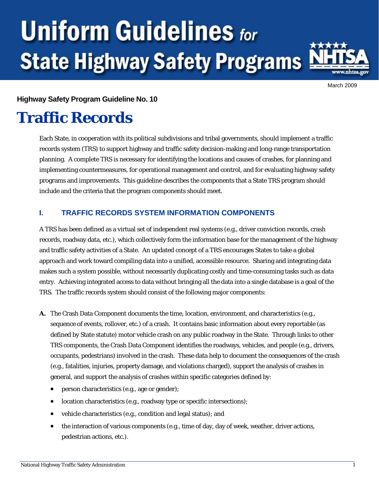# **Uniform Guidelines for State Highway Safety Programs**



March 2009

#### **Highway Safety Program Guideline No. 10**

# **Traffic Records**

Each State, in cooperation with its political subdivisions and tribal governments, should implement a traffic records system (TRS) to support highway and traffic safety decision-making and long-range transportation planning. A complete TRS is necessary for identifying the locations and causes of crashes, for planning and implementing countermeasures, for operational management and control, and for evaluating highway safety programs and improvements. This guideline describes the components that a State TRS program should include and the criteria that the program components should meet.

# **I. TRAFFIC RECORDS SYSTEM INFORMATION COMPONENTS**

A TRS has been defined as a virtual set of independent real systems (e.g., driver conviction records, crash records, roadway data, etc.), which collectively form the information base for the management of the highway and traffic safety activities of a State. An updated concept of a TRS encourages States to take a global approach and work toward compiling data into a unified, accessible resource. Sharing and integrating data makes such a system possible, without necessarily duplicating costly and time-consuming tasks such as data entry. Achieving integrated access to data without bringing all the data into a single database is a goal of the TRS. The traffic records system should consist of the following major components:

- **A.** The Crash Data Component documents the time, location, environment, and characteristics (e.g., sequence of events, rollover, etc.) of a crash. It contains basic information about every reportable (as defined by State statute) motor vehicle crash on any public roadway in the State. Through links to other TRS components, the Crash Data Component identifies the roadways, vehicles, and people (e.g., drivers, occupants, pedestrians) involved in the crash. These data help to document the consequences of the crash (e.g., fatalities, injuries, property damage, and violations charged), support the analysis of crashes in general, and support the analysis of crashes within specific categories defined by:
	- person characteristics (e.g., age or gender);
	- location characteristics (e.g., roadway type or specific intersections);
	- vehicle characteristics (e.g., condition and legal status); and
	- the interaction of various components (e.g., time of day, day of week, weather, driver actions, pedestrian actions, etc.).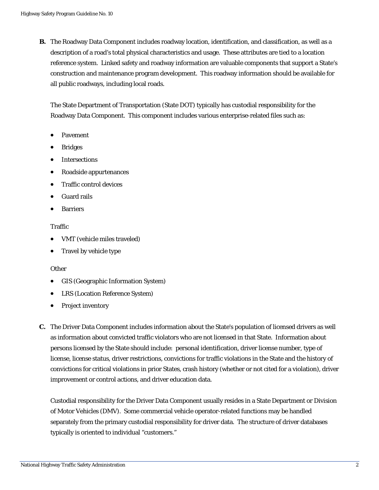**B.** The Roadway Data Component includes roadway location, identification, and classification, as well as a description of a road's total physical characteristics and usage. These attributes are tied to a location reference system. Linked safety and roadway information are valuable components that support a State's construction and maintenance program development. This roadway information should be available for all public roadways, including local roads.

The State Department of Transportation (State DOT) typically has custodial responsibility for the Roadway Data Component. This component includes various enterprise-related files such as:

- Pavement
- Bridges
- Intersections
- Roadside appurtenances
- Traffic control devices
- Guard rails
- Barriers

#### Traffic

- VMT (vehicle miles traveled)
- Travel by vehicle type

#### **Other**

- GIS (Geographic Information System)
- LRS (Location Reference System)
- Project inventory
- **C.** The Driver Data Component includes information about the State's population of licensed drivers as well as information about convicted traffic violators who are not licensed in that State. Information about persons licensed by the State should include: personal identification, driver license number, type of license, license status, driver restrictions, convictions for traffic violations in the State and the history of convictions for critical violations in prior States, crash history (whether or not cited for a violation), driver improvement or control actions, and driver education data.

Custodial responsibility for the Driver Data Component usually resides in a State Department or Division of Motor Vehicles (DMV). Some commercial vehicle operator-related functions may be handled separately from the primary custodial responsibility for driver data. The structure of driver databases typically is oriented to individual "customers."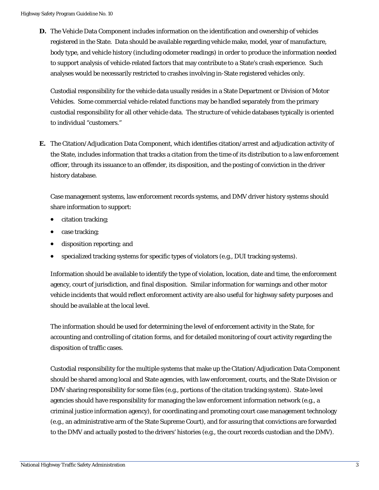**D.** The Vehicle Data Component includes information on the identification and ownership of vehicles registered in the State. Data should be available regarding vehicle make, model, year of manufacture, body type, and vehicle history (including odometer readings) in order to produce the information needed to support analysis of vehicle-related factors that may contribute to a State's crash experience. Such analyses would be necessarily restricted to crashes involving in-State registered vehicles only.

Custodial responsibility for the vehicle data usually resides in a State Department or Division of Motor Vehicles. Some commercial vehicle-related functions may be handled separately from the primary custodial responsibility for all other vehicle data. The structure of vehicle databases typically is oriented to individual "customers."

**E.** The Citation/Adjudication Data Component, which identifies citation/arrest and adjudication activity of the State, includes information that tracks a citation from the time of its distribution to a law enforcement officer, through its issuance to an offender, its disposition, and the posting of conviction in the driver history database.

Case management systems, law enforcement records systems, and DMV driver history systems should share information to support:

- citation tracking;
- case tracking;
- disposition reporting; and
- specialized tracking systems for specific types of violators (e.g., DUI tracking systems).

Information should be available to identify the type of violation, location, date and time, the enforcement agency, court of jurisdiction, and final disposition. Similar information for warnings and other motor vehicle incidents that would reflect enforcement activity are also useful for highway safety purposes and should be available at the local level.

The information should be used for determining the level of enforcement activity in the State, for accounting and controlling of citation forms, and for detailed monitoring of court activity regarding the disposition of traffic cases.

Custodial responsibility for the multiple systems that make up the Citation/Adjudication Data Component should be shared among local and State agencies, with law enforcement, courts, and the State Division or DMV sharing responsibility for some files (e.g., portions of the citation tracking system). State-level agencies should have responsibility for managing the law enforcement information network (e.g., a criminal justice information agency), for coordinating and promoting court case management technology (e.g., an administrative arm of the State Supreme Court), and for assuring that convictions are forwarded to the DMV and actually posted to the drivers' histories (e.g., the court records custodian and the DMV).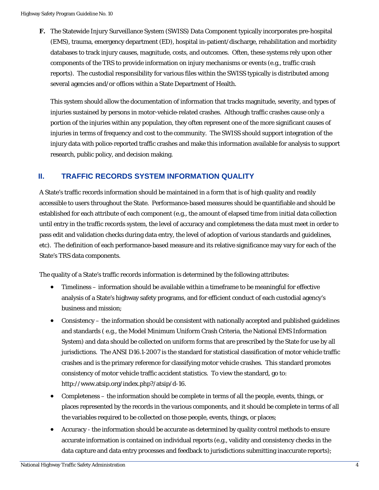**F.** The Statewide Injury Surveillance System (SWISS) Data Component typically incorporates pre-hospital (EMS), trauma, emergency department (ED), hospital in-patient/discharge, rehabilitation and morbidity databases to track injury causes, magnitude, costs, and outcomes. Often, these systems rely upon other components of the TRS to provide information on injury mechanisms or events (e.g., traffic crash reports). The custodial responsibility for various files within the SWISS typically is distributed among several agencies and/or offices within a State Department of Health.

This system should allow the documentation of information that tracks magnitude, severity, and types of injuries sustained by persons in motor-vehicle-related crashes. Although traffic crashes cause only a portion of the injuries within any population, they often represent one of the more significant causes of injuries in terms of frequency and cost to the community. The SWISS should support integration of the injury data with police-reported traffic crashes and make this information available for analysis to support research, public policy, and decision making.

#### **II. TRAFFIC RECORDS SYSTEM INFORMATION QUALITY**

A State's traffic records information should be maintained in a form that is of high quality and readily accessible to users throughout the State. Performance-based measures should be quantifiable and should be established for each attribute of each component (e.g., the amount of elapsed time from initial data collection until entry in the traffic records system, the level of accuracy and completeness the data must meet in order to pass edit and validation checks during data entry, the level of adoption of various standards and guidelines, etc). The definition of each performance-based measure and its relative significance may vary for each of the State's TRS data components.

The quality of a State's traffic records information is determined by the following attributes:

- Timeliness information should be available within a timeframe to be meaningful for effective analysis of a State's highway safety programs, and for efficient conduct of each custodial agency's business and mission;
- Consistency the information should be consistent with nationally accepted and published guidelines and standards ( e.g., the Model Minimum Uniform Crash Criteria, the National EMS Information System) and data should be collected on uniform forms that are prescribed by the State for use by all jurisdictions. The ANSI D16.1-2007 is the standard for statistical classification of motor vehicle traffic crashes and is the primary reference for classifying motor vehicle crashes. This standard promotes consistency of motor vehicle traffic accident statistics. To view the standard, go to: [http://www.atsip.org/index.php?/atsip/d-16.](http://www.atsip.org/index.php?/atsip/d-16)
- Completeness the information should be complete in terms of all the people, events, things, or places represented by the records in the various components, and it should be complete in terms of all the variables required to be collected on those people, events, things, or places;
- accurate information is contained on individual reports (e.g., validity and consistency checks in the data capture and data entry processes and feedback to jurisdictions submitting inaccurate reports); Accuracy - the information should be accurate as determined by quality control methods to ensure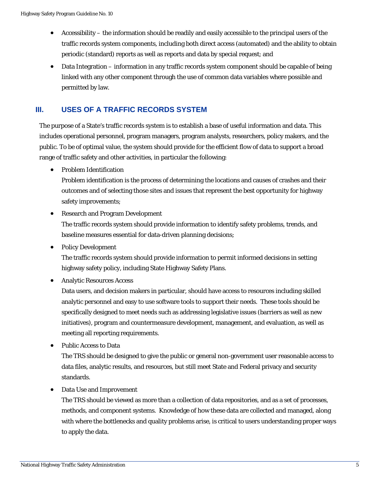- Accessibility the information should be readily and easily accessible to the principal users of the traffic records system components, including both direct access (automated) and the ability to obtain periodic (standard) reports as well as reports and data by special request; and
- Data Integration information in any traffic records system component should be capable of being linked with any other component through the use of common data variables where possible and permitted by law.

# **III. USES OF A TRAFFIC RECORDS SYSTEM**

The purpose of a State's traffic records system is to establish a base of useful information and data. This includes operational personnel, program managers, program analysts, researchers, policy makers, and the public. To be of optimal value, the system should provide for the efficient flow of data to support a broad range of traffic safety and other activities, in particular the following:

• Problem Identification

Problem identification is the process of determining the locations and causes of crashes and their outcomes and of selecting those sites and issues that represent the best opportunity for highway safety improvements;

- Research and Program Development The traffic records system should provide information to identify safety problems, trends, and baseline measures essential for data-driven planning decisions;
- Policy Development

The traffic records system should provide information to permit informed decisions in setting highway safety policy, including State Highway Safety Plans.

• Analytic Resources Access

Data users, and decision makers in particular, should have access to resources including skilled analytic personnel and easy to use software tools to support their needs. These tools should be specifically designed to meet needs such as addressing legislative issues (barriers as well as new initiatives), program and countermeasure development, management, and evaluation, as well as meeting all reporting requirements.

• Public Access to Data

The TRS should be designed to give the public or general non-government user reasonable access to data files, analytic results, and resources, but still meet State and Federal privacy and security standards.

• Data Use and Improvement

The TRS should be viewed as more than a collection of data repositories, and as a set of processes, methods, and component systems. Knowledge of how these data are collected and managed, along with where the bottlenecks and quality problems arise, is critical to users understanding proper ways to apply the data.